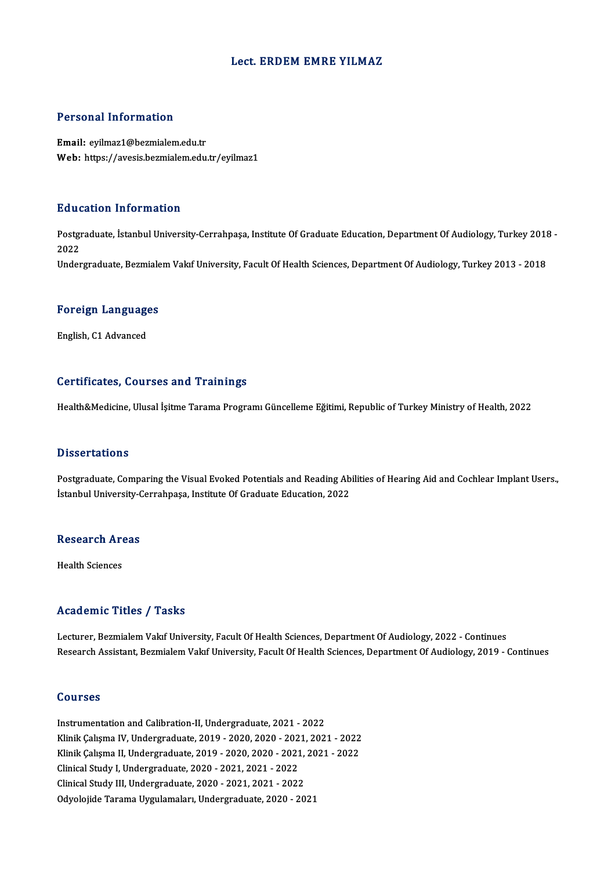#### Lect. ERDEM EMRE YILMAZ

#### Personal Information

Email: eyilmaz1@bezmialem.edu.tr Web: https://avesis.bezmialem.edu.tr/eyilmaz1

#### Education Information

**Education Information**<br>Postgraduate, İstanbul University-Cerrahpaşa, Institute Of Graduate Education, Department Of Audiology, Turkey 2018 -<br>2022 Hute<br>Postgr<br>2022<br>Under 2022<br>Undergraduate, Bezmialem Vakıf University, Facult Of Health Sciences, Department Of Audiology, Turkey 2013 - 2018

## <sub>ondergraduate, bezmiale</sub><br>Foreign Languages <mark>Foreign Languag</mark>e<br>English, C1 Advanced

# English, C1 Advanced<br>Certificates, Courses and Trainings

Health&Medicine, Ulusal İşitme Tarama Programı Güncelleme Eğitimi, Republic of Turkey Ministry of Health, 2022

#### **Dissertations**

Postgraduate, Comparing the Visual Evoked Potentials and Reading Abilities of Hearing Aid and Cochlear Implant Users., İstanbul University-Cerrahpaşa, Institute Of Graduate Education, 2022

## na Chiversity-Constant<br>Research<br>Areas R<mark>esearch Ar</mark><br>Health Sciences

# Academic Titles / Tasks

Lecturer, Bezmialem Vakıf University, Facult Of Health Sciences, Department Of Audiology, 2022 - Continues Research Assistant, Bezmialem Vakıf University, Facult Of Health Sciences, Department Of Audiology, 2019 - Continues

#### Courses

Instrumentation and Calibration-II, Undergraduate, 2021 - 2022 Sourbes<br>Instrumentation and Calibration-II, Undergraduate, 2021 - 2022<br>Klinik Çalışma IV, Undergraduate, 2019 - 2020, 2020 - 2021, 2021 - 2022<br>Klinik Çalışma II, Undergraduate, 2019, 2020, 2020, 2021, 2021, 2022 Instrumentation and Calibration-II, Undergraduate, 2021 - 2022<br>Klinik Çalışma IV, Undergraduate, 2019 - 2020, 2020 - 2021, 2021 - 2022<br>Klinik Çalışma II, Undergraduate, 2019 - 2020, 2020 - 2021, 2021 - 2022<br>Clinical Study Klinik Çalışma IV, Undergraduate, 2019 - 2020, 2020 - 202<br>Klinik Çalışma II, Undergraduate, 2019 - 2020, 2020 - 2021<br>Clinical Study I, Undergraduate, 2020 - 2021, 2021 - 2022<br>Clinical Study II, Undergraduate, 2020 - 2021, Klinik Çalışma II, Undergraduate, 2019 - 2020, 2020 - 2021, 2021 - 2022<br>Clinical Study I, Undergraduate, 2020 - 2021, 2021 - 2022<br>Clinical Study III, Undergraduate, 2020 - 2021, 2021 - 2022 Odyolojide Tarama Uygulamaları, Undergraduate, 2020 - 2021